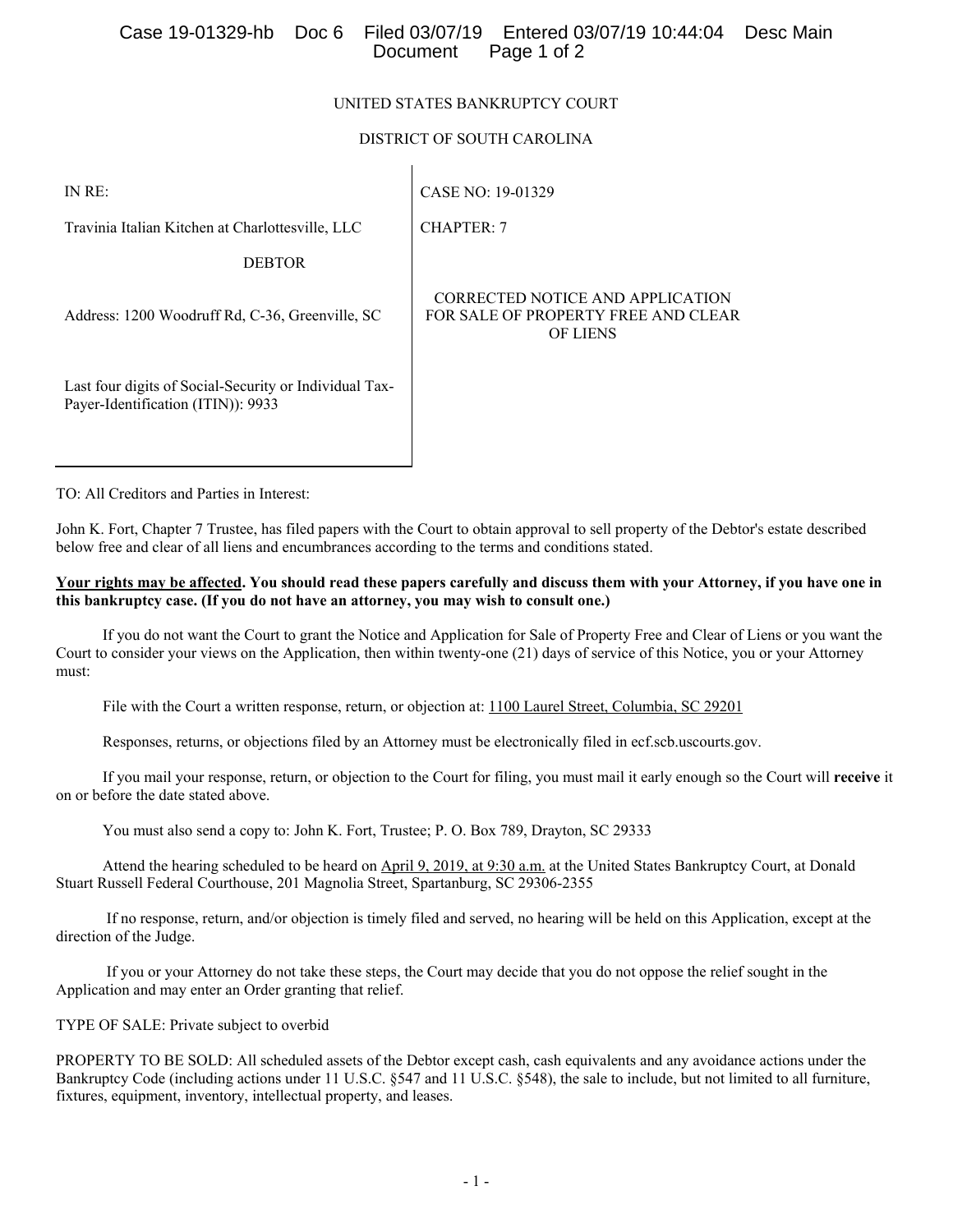## UNITED STATES BANKRUPTCY COURT

## DISTRICT OF SOUTH CAROLINA

CHAPTER: 7

IN RE:

CASE NO: 19-01329

Travinia Italian Kitchen at Charlottesville, LLC

DEBTOR

Address: 1200 Woodruff Rd, C-36, Greenville, SC

Last four digits of Social-Security or Individual Tax-Payer-Identification (ITIN)): 9933

CORRECTED NOTICE AND APPLICATION FOR SALE OF PROPERTY FREE AND CLEAR OF LIENS

TO: All Creditors and Parties in Interest:

John K. Fort, Chapter 7 Trustee, has filed papers with the Court to obtain approval to sell property of the Debtor's estate described below free and clear of all liens and encumbrances according to the terms and conditions stated.

### **Your rights may be affected. You should read these papers carefully and discuss them with your Attorney, if you have one in this bankruptcy case. (If you do not have an attorney, you may wish to consult one.)**

 If you do not want the Court to grant the Notice and Application for Sale of Property Free and Clear of Liens or you want the Court to consider your views on the Application, then within twenty-one (21) days of service of this Notice, you or your Attorney must:

File with the Court a written response, return, or objection at: 1100 Laurel Street, Columbia, SC 29201

Responses, returns, or objections filed by an Attorney must be electronically filed in ecf.scb.uscourts.gov.

 If you mail your response, return, or objection to the Court for filing, you must mail it early enough so the Court will **receive** it on or before the date stated above.

You must also send a copy to: John K. Fort, Trustee; P. O. Box 789, Drayton, SC 29333

 Attend the hearing scheduled to be heard on April 9, 2019, at 9:30 a.m. at the United States Bankruptcy Court, at Donald Stuart Russell Federal Courthouse, 201 Magnolia Street, Spartanburg, SC 29306-2355

 If no response, return, and/or objection is timely filed and served, no hearing will be held on this Application, except at the direction of the Judge.

 If you or your Attorney do not take these steps, the Court may decide that you do not oppose the relief sought in the Application and may enter an Order granting that relief.

TYPE OF SALE: Private subject to overbid

PROPERTY TO BE SOLD: All scheduled assets of the Debtor except cash, cash equivalents and any avoidance actions under the Bankruptcy Code (including actions under 11 U.S.C. §547 and 11 U.S.C. §548), the sale to include, but not limited to all furniture, fixtures, equipment, inventory, intellectual property, and leases.